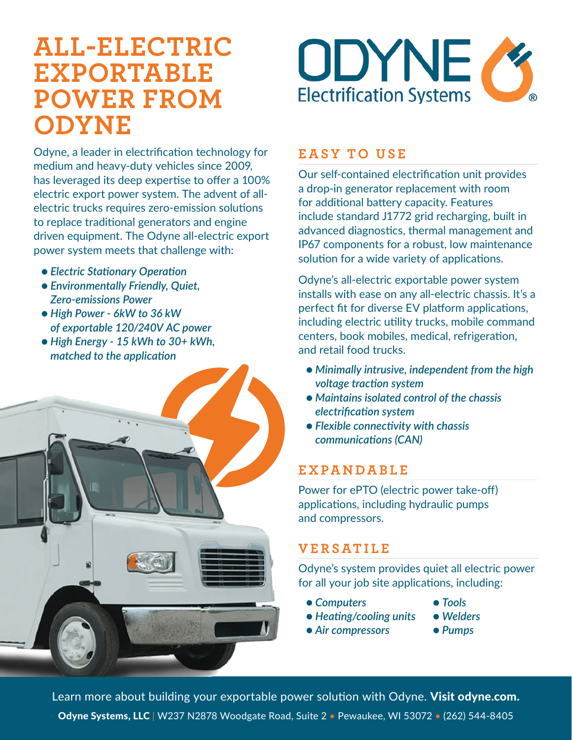# **ALL-ELECTRIC EXPORTABLE POWER FROM ODYNE**

Odyne, a leader in electrification technology for medium and heavy-duty vehicles since 2009, has leveraged its deep expertise to offer a 100% electric export power system. The advent of allelectric trucks requires zero-emission solutions to replace traditional generators and engine driven equipment. The Odyne all-electric export power system meets that challenge with:

- *Electric Stationary Operation*
- *Environmentally Friendly, Quiet, Zero-emissions Power*
- *High Power 6kW to 36 kW of exportable 120/240V AC power*
- *High Energy 15 kWh to 30+ kWh, matched to the application*





### **EASY TO USE**

Our self-contained electrification unit provides a drop-in generator replacement with room for additional battery capacity. Features include standard J1772 grid recharging, built in advanced diagnostics, thermal management and IP67 components for a robust, low maintenance solution for a wide variety of applications.

Odyne's all-electric exportable power system installs with ease on any all-electric chassis. It's a perfect fit for diverse EV platform applications, including electric utility trucks, mobile command centers, book mobiles, medical, refrigeration, and retail food trucks.

- *Minimally intrusive, independent from the high voltage traction system*
- *Maintains isolated control of the chassis electrification system*
- *Flexible connectivity with chassis communications (CAN)*

### **EXPANDABLE**

Power for ePTO (electric power take-off) applications, including hydraulic pumps and compressors.

## **VERSATILE**

Odyne's system provides quiet all electric power for all your job site applications, including:

- *Computers Tools*
	-
- *Heating/cooling units Welders*
- 
- *Air compressors Pumps*

Learn more about building your exportable power solution with Odyne. [Visit odyne.com](http://www.odyne.com). Odyne Systems, LLC | W237 N2878 Woodgate Road, Suite 2 · Pewaukee, WI 53072 · (262) 544-8405